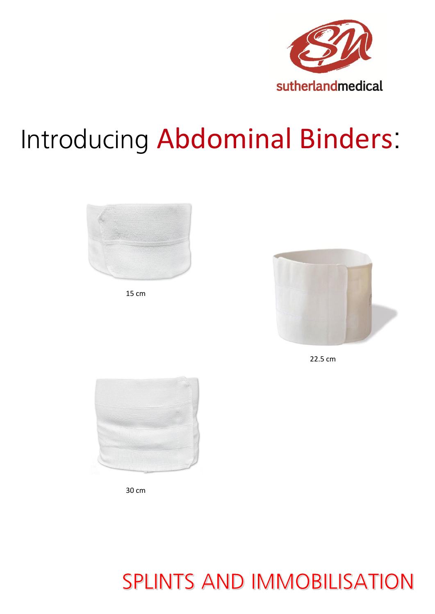

# Introducing Abdominal Binders:



15 cm



22.5 cm



30 cm

### **SPLINTS AND IMMOBILISATION**